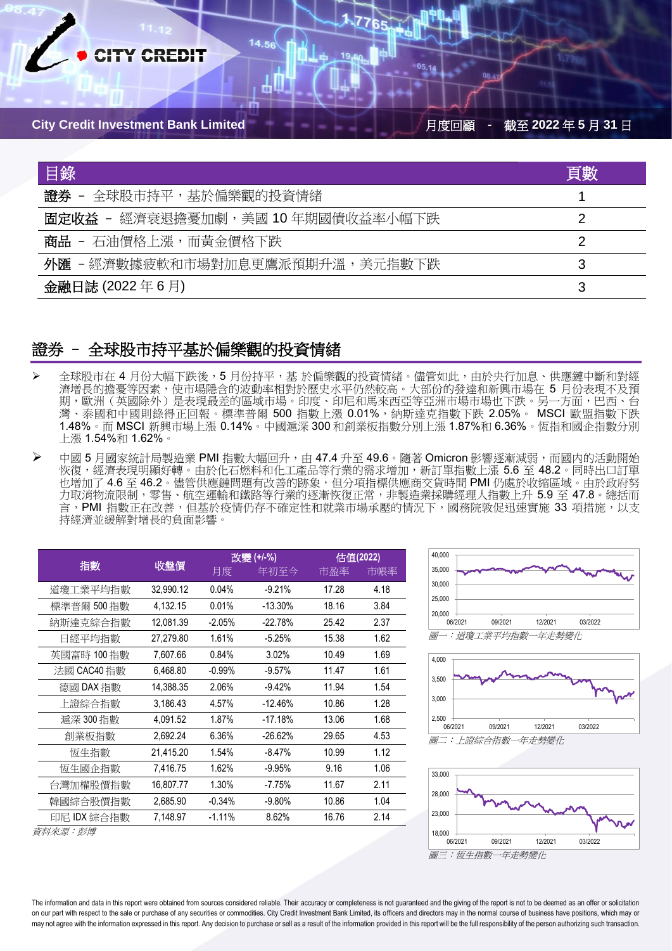

| 目錄                                | 頁數 |
|-----------------------------------|----|
| 證券<br>- 全球股市持平,基於偏樂觀的投資情緒         |    |
| 固定收益 - 經濟衰退擔憂加劇,美國 10 年期國債收益率小幅下跌 |    |
| 商品 - 石油價格上漲,而黃金價格下跌               |    |
| 外匯 - 經濟數據疲軟和市場對加息更鷹派預期升溫,美元指數下跌   | 3  |
| 金融日誌 (2022年6月)                    | 3  |

### 證券 – 全球股市持平基於偏樂觀的投資情緒

- 全球股市在 4 月份大幅下跌後,5 月份持平,基 於偏樂觀的投資情緒。儘管如此,由於央行加息、供應鏈中斷和對經 濟增長的擔憂等因素,使市場隱含的波動率相對於歷史水平仍然較高。大部份的發達和新興市場在 5 月份表現不及預 期,歐洲(英國除外)是表現最差的區域市場。印度、印尼和馬來西亞等亞洲市場市場也下跌。另一方面,巴西、台 灣、泰國和中國則錄得正回報。標準普爾 500 指數上漲 0.01%,納斯達克指數下跌 2.05%。 MSCI 歐盟指數下跌 1.48%。而 MSCI 新興市場上漲 0.14%。中國滬深 300 和創業板指數分別上漲 1.87%和 6.36%。恆指和國企指數分別 上漲 1.54%和 1.62%。
- **▷** 中國 5 月國家統計局製造業 PMI 指數大幅回升,由 47.4 升至 49.6。隨著 Omicron 影響逐漸減弱,而國内的活動開始 恢復,經濟表現明顯好轉。由於化石燃料和化工產品等行業的需求增加,新訂單指數上漲 5.6 至 48.2。同時出口訂單 也增加了 4.6 至 46.2。儘管供應鏈問題有改善的跡象,但分項指標供應商交貨時間 PMI 仍處於收縮區域。由於政府努 力取消物流限制,零售、航空運輸和鐵路等行業的逐漸恢復正常,非製造業採購經理人指數上升 5.9 至 47.8。總括而 言,PMI 指數正在改善,但基於疫情仍存不確定性和就業市場承壓的情況下,國務院敦促迅速實施 33 項措施,以支 持經濟並緩解對增長的負面影響

|             | 改變 (+/-%)<br>收盤價<br>月度 |          | 估值(2022)  |       |      |
|-------------|------------------------|----------|-----------|-------|------|
| 指數          |                        |          | 年初至今      | 市盈率   | 市帳率  |
| 道瓊工業平均指數    | 32,990.12              | 0.04%    | $-9.21%$  | 17.28 | 4.18 |
| 標準普爾 500 指數 | 4,132.15               | 0.01%    | $-13.30%$ | 18.16 | 3.84 |
| 納斯達克綜合指數    | 12,081.39              | $-2.05%$ | $-22.78%$ | 25.42 | 2.37 |
| 日經平均指數      | 27,279.80              | 1.61%    | $-5.25%$  | 15.38 | 1.62 |
| 英國富時 100指數  | 7,607.66               | 0.84%    | 3.02%     | 10.49 | 1.69 |
| 法國 CAC40 指數 | 6,468.80               | $-0.99%$ | $-9.57%$  | 11.47 | 1.61 |
| 德國 DAX 指數   | 14,388.35              | 2.06%    | $-9.42%$  | 11.94 | 1.54 |
| 上證綜合指數      | 3,186.43               | 4.57%    | $-12.46%$ | 10.86 | 1.28 |
| 滬深 300 指數   | 4,091.52               | 1.87%    | $-17.18%$ | 13.06 | 1.68 |
| 創業板指數       | 2,692.24               | 6.36%    | $-26.62%$ | 29.65 | 4.53 |
| 恆生指數        | 21,415.20              | 1.54%    | $-8.47%$  | 10.99 | 1.12 |
| 恆生國企指數      | 7,416.75               | 1.62%    | $-9.95%$  | 9.16  | 1.06 |
| 台灣加權股價指數    | 16,807.77              | 1.30%    | $-7.75%$  | 11.67 | 2.11 |
| 韓國綜合股價指數    | 2,685.90               | $-0.34%$ | $-9.80%$  | 10.86 | 1.04 |
| 印尼 IDX 綜合指數 | 7,148.97               | $-1.11%$ | 8.62%     | 16.76 | 2.14 |
| 資料來源:彭博     |                        |          |           |       |      |







The information and data in this report were obtained from sources considered reliable. Their accuracy or completeness is not guaranteed and the giving of the report is not to be deemed as an offer or solicitation on our part with respect to the sale or purchase of any securities or commodities. City Credit Investment Bank Limited, its officers and directors may in the normal course of business have positions, which may or may not agree with the information expressed in this report. Any decision to purchase or sell as a result of the information provided in this report will be the full responsibility of the person authorizing such transactio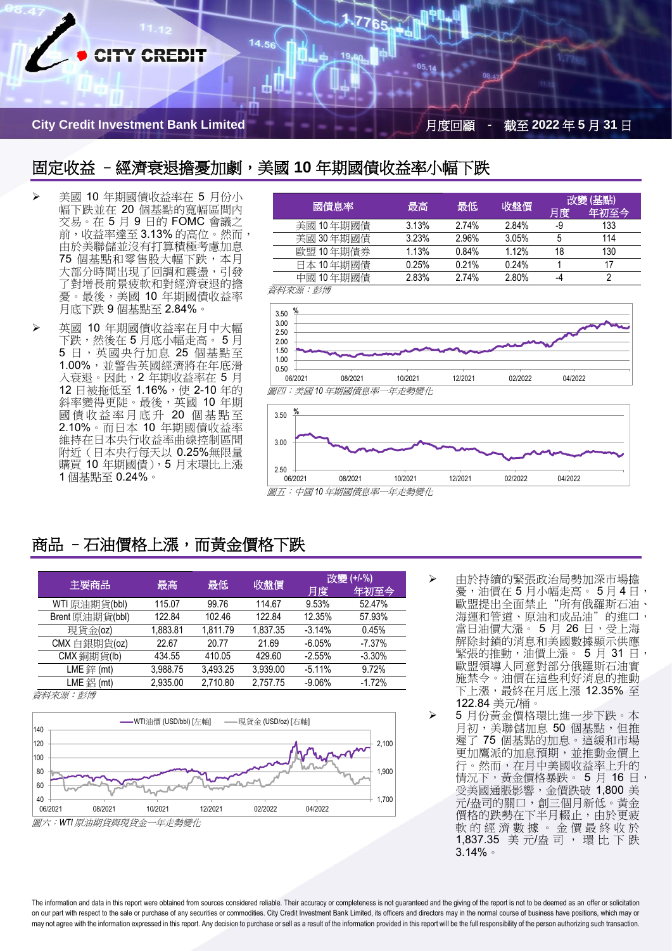

**City Credit Investment Bank Limited** 月度回顧 **-** 截至 **2022** 年 **5** 月 **31** 日

#### 固定收益 –經濟衰退擔憂加劇,美國 **10** 年期國債收益率小幅下跌

14.56

- ➢ 美國 10 年期國債收益率在 5 月份小 幅下跌並在 20 個基點的寬幅區間內 交易。在 5 月 9 日的 FOMC 會議之 前,收益率達至 3.13% 的高位。然而 由於美聯儲並沒有打算積極考慮加息 75 個基點和零售股大幅下跌,本月 大部分時間出現了回調和震盪,引發 了對增長前景疲軟和對經濟衰退的擔 憂。最後,美國 10 年期國債收益率 月底下跌 9 個基點至 2.84%。
- ➢ 英國 10 年期國債收益率在月中大幅 下跌,然後在 5 月底小幅走高。 5 月 5 日,英國央行加息 25 個基點至 1.00%,並警告英國經濟將在年底滑 入衰退。因此,2 年期收益率在 5 月 12 日被拖低至 1.16%, 使 2-10 年的 斜率變得更陡。最後,英國 10 年期 國債收益率月底升 20 個基點至 2.10%。而日本 10 年期國債收益率 維持在日本央行收益率曲線控制區間 附近(日本央行每天以 0.25%無限量 購買 10 年期國債), 5 月末環比上漲 1 個基點至 0.24%。

| 國債息率            | 最高<br>最低 |       | 收盤價   | 改變(基點) |      |
|-----------------|----------|-------|-------|--------|------|
|                 |          |       |       | 月度     | 年初至今 |
| 美國 10年期國債       | 3.13%    | 2.74% | 2.84% | -9     | 133  |
| 美國 30年期國債       | 3.23%    | 2.96% | 3.05% | 5      | 114  |
| 歐盟 10年期債券       | 1.13%    | 0.84% | 1.12% | 18     | 130  |
| 日本 10 年期國債      | 0.25%    | 0.21% | 0.24% |        | 17   |
| 中國 10年期國債       | 2.83%    | 2.74% | 2.80% | -4     |      |
| - 这必/ 赤沼 ・ キイ+甫 |          |       |       |        |      |

*資料米源・彭博* 

 $2.50$   $+$  06/2021



06/2021 08/2021 10/2021 12/2021 02/2022 04/2022

#### 圖五:中國 *10* 年期國債息率一年走勢變化

## 商品 - 石油價格上漲,而黃金價格下跌

| 主要商品                       | 最高       | 最低       | 收盤價      | 改變 (+/-%) |          |
|----------------------------|----------|----------|----------|-----------|----------|
|                            |          |          |          | 月度        | 年初至今     |
| WTI 原油期貨(bbl)              | 115.07   | 99.76    | 114.67   | 9.53%     | 52.47%   |
| Brent 原油期貨(bbl)            | 122.84   | 102.46   | 122.84   | 12.35%    | 57.93%   |
| 現貨金(oz)                    | 1.883.81 | 1.811.79 | 1.837.35 | $-3.14%$  | 0.45%    |
| CMX 白銀期貨(oz)               | 22.67    | 20.77    | 21.69    | $-6.05%$  | $-7.37%$ |
| CMX 銅期貨(lb)                | 434.55   | 410.05   | 429.60   | $-2.55%$  | $-3.30%$ |
| $LME \frac{200}{200} (mt)$ | 3.988.75 | 3.493.25 | 3.939.00 | $-5.11%$  | 9.72%    |
| $LME 4H (mt)$              | 2.935.00 | 2.710.80 | 2.757.75 | $-9.06%$  | $-1.72%$ |

資料來源︰彭博



➢ 由於持續的緊張政治局勢加深市場擔 憂,油價在 5 月小幅走高。 5 月 4 日, 歐盟提出全面禁止"所有俄羅斯石油、 海運和管道、原油和成品油"的進口, 當日油價大漲。 5 月 26 日,受上海 解除封鎖的消息和美國數據顯示供應 緊張的推動,油價上漲。 5 月 31 日, 歐盟領導人同意對部分俄羅斯石油實 施禁令。油價在這些利好消息的推動 下上漲,最終在月底上漲 12.35% 至 122.84 美元/桶。

5 月份黃金價格環比進一步下跌。本 月初,美聯儲加息 50 個基點,但推 遲了 75 個基點的加息。這緩和市場 更加鷹派的加息預期,並推動金價上 行。然而,在月中美國收益率上升的 情況下,黃金價格暴跌。 5月 16日, 受美國通脹影響,金價跌破 1,800 美 元/盎司的關口,創三個月新低。黃金 價格的跌勢在下半月輟止,由於更疲 軟的經濟數據。金價最終收於 1,837.35 美 元/盎 司 , 環 比 下 跌 3.14%。

The information and data in this report were obtained from sources considered reliable. Their accuracy or completeness is not guaranteed and the giving of the report is not to be deemed as an offer or solicitation on our part with respect to the sale or purchase of any securities or commodities. City Credit Investment Bank Limited, its officers and directors may in the normal course of business have positions, which may or may not agree with the information expressed in this report. Any decision to purchase or sell as a result of the information provided in this report will be the full responsibility of the person authorizing such transactio